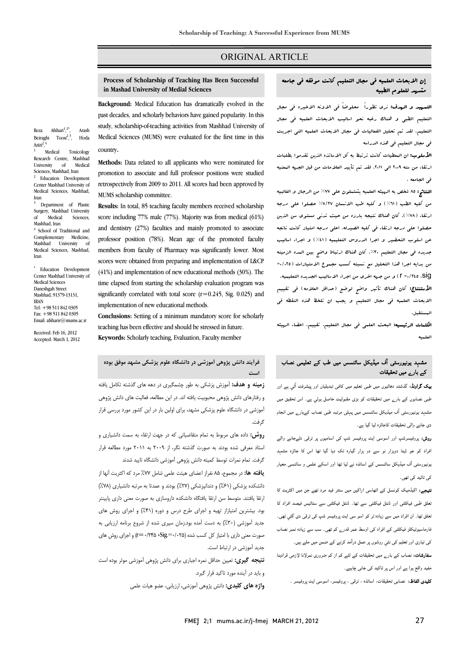## ORIGINAL ARTICLE

# **Process of Scholarship of Teaching Has Been Successful in Mashad University of Medial Sciences**

Ī  $\overline{a}$ 

 **Background:** Medical Education has dramatically evolved in the past decades, and scholarly behaviors have gained popularity. In this study, scholarship-of-teaching activities from Mashhad University of Medical Sciences (MUMS) were evaluated for the first time in this country.

 **Methods:** Data related to all applicants who were nominated for promotion to associate and full professor positions were studied retrospectively from 2009 to 2011. All scores had been approved by MUMS scholarship committee.

 **Results:** In total, 85 teaching faculty members received scholarship score including 77% male (77%). Majority was from medical (61%) and dentistry (27%) faculties and mainly promoted to associate professor position (78%). Mean age of the promoted faculty members from faculty of Pharmacy was significantly lower. Most scores were obtained from preparing and implementation of L&CP time elapsed from starting the scholarship evaluation program was  $\frac{1}{2}$ significantly correlated with total score  $(r=0.245, Sig. 0.025)$  and<br>implementation of new educational methods (41%) and implementation of new educational methods (30%). The implementation of new educational methods.

 **Conclusions:** Setting of a minimum mandatory score for scholarly teaching has been effective and should be stressed in future.

**Keywords:** Scholarly teaching, Evaluation, Faculty member

Sciences, Mashhad, Iran<br><sup>2</sup> Education Develop Education Development Center Mashhad University of Medical Sciences, Mashhad,

Arash

, Hoda

3 Department of Plastic Surgery, Mashhad University<br>of Medical Sciences, Medical Mashhad, Iran 4 School of Traditional and

Reza Afshari<sup>1</sup>,

Azizi<sup>2</sup>,<sup>4</sup>

Iran

Beiraghi  $T$ oosi<sup>2</sup>,<sup>3</sup>

 Medical Toxicology Research Centre, Mashhad<br>University of Medical University of

Complementary Medicine, Mashhad University Medical Sciences, Mashhad, Iran

\* Education Development Center Mashhad University of Medical Sciences Daneshgah Street Mashhad, 91379-13131, IRAN Tel: +98 511 842 0305 Fax: +98 511 842 0305 Email: afsharir@mums.ac.ir

Received: Feb 16, 2012 Accepted: March 1, 2012

> **فرآيند دانش پژوهي آموزشي در دانشگاه علوم پزشكي مشهد موفق بوده زمينه و هدف:** آموزش پزشكي به طور چشمگيري در دهه هاي گذشته تكامل يافته **است**

> و بيست و بانش پژوهي محبوبيت يافته اند. در سيست و بيست سيست مي در اين دانش پژوهي<br>و رفتارهاي دانش پژوهي محبوبيت يافته اند. در اين مطالعه، فعاليت هاي دانش پژوهي Ĩ آموزشي در دانشگاه علوم پزشكي مشهد، براي اولين بار در اين كشور مورد بررسي قرار گرفت.

> **روش:** داده هاي مربوط به تمام متقاضياني كه در جهت ارتقاء به سمت دانشياري و استاد معرفي شده بودند به صورت گذشته نگر، از 2009 به 2011 مورد مطالعه قرار گرفت. تمام نمرات توسط كميته دانش پژوهي آموزشي دانشگاه تاييد شدند

> **يافته ها:** در مجموع، 85 نفراز اعضاي هيئت علمي شامل %77 مرد كه اكثريت آنها از .<br>دانشكده پزشكي (۶۱٪) و دندانپزشكي (۲۷٪) بودند و عمدتا به مرتبه دانشياري (۷۸٪) ارتقا يافتند. متوسط سن ارتقا يافتگاه دانشكده داروسازي به صورت معني داري پايينتر .<br>بود. بيشترين امتيازاز تهيه و اجراي طرح درس و دوره (۴۱٪) و اجراي روش هاي j جديد آموزشي (٣٠٪) به دست آمده بود.زمان سپری شده از شروع برنامه ارزيابي به<br>... صورت معنی داری با امتياز كل كسب شده (0/03−075−0/145−. e) و اجرای روش های<br>. جديد آموزشي در ارتباط است.

> **نتيجه گيري:** تعيين حداقل نمره اجباري براي دانش پژوهي آموزشي موثر بوده است و بايد در آينده مورد تاكيد قرار گيرد.

**واژه هاي كليدي:** دانش پژوهي آموزشي، ارزيابي، عضو هيات علمي

# إن الابحاث العلميه في مجال التعليم كانت موفقه في جامعه مشهد للعلوم الطبيه

ر  $\overline{a}$ 

 التمهيد و الهدف: نري تطوراً محلوضاً في الاونه الاخيره في مجال التعليم الطبي و هناك رغبه نحو اساليب الابحاث العلميه في مجال التعليم. لقد تم تحليل الفعاليات في مجال الابحاث العلميه التي اجريت في مجال التعليم في هذه الدراسه

 الأسلوب: ان المعطيات كانت ترتبط به كل الاساتذه الذين تقدموا بطلبات .<br>ارتقاء من سنه ٢٠٠٩ ال<sub>ى ٢</sub>٠١١. لقد تم تأييد العلامات من قبل الج*هه* المعنيه في الجامعه .

 النتائج: 85 شخص به الهيئه العلميه يشتملون علي %77 من الرجال و الغالبيه من كليه الطب (٦١٪) و كليه طب الانسان ٧/٢٧٪ حصلوا على درجه<br>. ارتقاء (%78). كان هناك نتيجه بارزه من حيث تدني مستوي سن الذين حصلوا علي درجه ارتقاء في كليه الصيدله. اعلي درجه امتياز كانت ناتجه عن اسلوب التحضير و اجرا الدروس التعليميه (%41) و اجراء اساليب جديده في مجال التعليم .%30 كان هناك ارتباط واضح بين المده الزمينه من بدايه اجرا هذا التحليل مع نسبته كسب مجموع الامتيازات (0/025= sig، 0/245 =r (و من جهه اخري من اجراء الاساليب الجديده التعليميه. الأستنتاج: كان هناك تأثير واضح لوضع (حداقل العلامه) في تقييم الابحاث العلميه في مجال التعليم و يجب ان تلخظ هذه النقطه في المستقبل.

 الكلمات الرئيسيه: البحث العلمي في مجال التعليم، تقييم، اعضاء الهيئه العلميه

# مشہد یونیورسٹی آف میڈیکل سائنسس میں طب کے تعلیمی نصاب ،<br>کے بار<sub>ے</sub> میں تحقیقات

j **بیک گراونڈ:** گذشتہ دھائیوں میں طبی تعلیم میں کافی تبدیلیاں اور پیشرفت آئي ہے اور<br>۔ طبی نصابوں کے بارے میں تحقیقات کو بڑی مقبولیت حاصل ہوئي ہے۔ اس تحقیق میں مشہد یونیورسٹی آف میڈیکل سائنسس میں پہلی مرتبہ طبی نصاب کےبارے میں انجام دی جانے والی تحقیقات کاجائزہ لیا گيا ہے۔

 روش: پروفیسرشپ اور اسوسی ایٹ پروفیسر شپ کی اسامیوں پر ترقی دئےجانے والے افراد کو جو ڈیٹا دوہزار نو سے دو ہزار گيارہ تک دیا گيا تھا اس کا جائزہ مشہد یونیورسٹی آف میڈیکل سائنسس کے اساتذہ نے لیا تھا اور اسکے علمی و سائنسی معیار کی تائيد کی تھی۔

ن**تیجے:** اکیڈمیک کونسل کے اٹھاسی اراکین میں ستتر فید مرد تھے جن میں اکثریت کا<br>. تعلق طبی فیکلٹی اور ڈنٹل فیکلٹی سے تھا۔ ڈنٹل فیکلٹی سے ستائيس فیصد افراد کا تعلق تھا۔ ان افراد میں سے زیادہ تر کو اسو سی ایٹ پروفیسر شپ کی ترقی دی گئي تھی۔ فارماسیوٹیکلز فیکلٹی کے افراد کی اوسط عمر قدرے کم تھی۔ سب سے زیادہ نمبر نصاب کی تیاری اور تعلیم کی نئي روشوں پر عمل درآمد کرنے کے ضمن میں ملے ہیں۔

**سفارشات:** نصاب کے بار<sub>ے</sub> میں تحقیقات کے لئے کم از کم ضروری نمرلانا لازمی قرادینا مفید واقع ہوا ہے اور اس پر تاکید کی جانی چاہیے۔ Ĭ

**کلیدی الفاظ:** نصابی تحقیقات، اساتذہ ، ترقی ، پروفیسر، اسوسی ایٹ پروفیسر ۔<br>-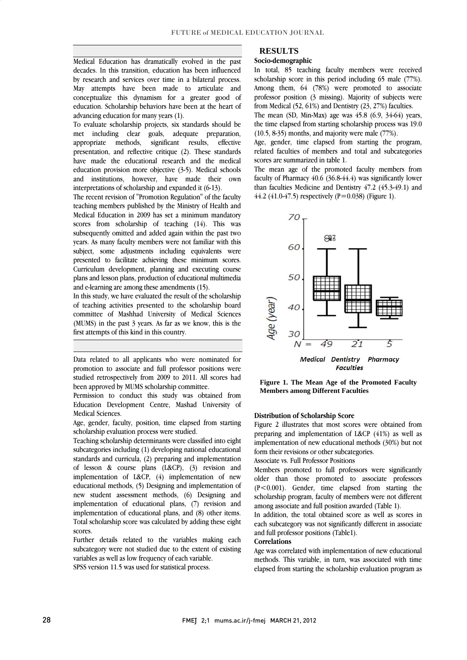Medical Education has dramatically evolved in the past decades. In this transition, education has been influenced by research and services over three in a bhateral process.<br>May attempts have been made to articulate and conceptualize this dynamism for a greater good of education. Scholarship behaviors have been at the heart of by research and services over time in a bilateral process. advancing education for many years (1).

advancing education tor many years (1).<br>To evaluate scholarship projects, six standards should be met including clear goals, adequate preparation, appropriate methods, significant results, effective presentation, and reflective critique (2). These standards have made the educational research and the medical and institutions, however, have made their own education provision more objective (3-5). Medical schools interpretations of scholarship and expanded it (6-13).

 The recent revision of "Promotion Regulation" of the faculty teaching members published by the Ministry of Health and scores from scholarship of teaching (14). This was subsequently omitted and added again within the past two years. As many faculty members were not familiar with this subject, some adjustments including equivalents were Curriculum development, planning and executing course plans and lesson plans, production of educational multimedia Medical Education in 2009 has set a minimum mandatory presented to facilitate achieving these minimum scores. and e-learning are among these amendments (15).

In this study, we have evaluated the result of the scholarship<br>of teaching activities presented to the scholarship board committee of Mashhad University of Medical Sciences (MUMS) in the past 3 years. As far as we know, this is the In this study, we have evaluated the result of the scholarship first attempts of this kind in this country.

 Data related to all applicants who were nominated for promotion to associate and full professor positions were studied retrospectively from 2009 to 2011. All scores had been approved by MUMS scholarship committee.

 Permission to conduct this study was obtained from Education Development Centre, Mashad University of Medical Sciences.

 Age, gender, faculty, position, time elapsed from starting scholarship evaluation process were studied.

 Teaching scholarship determinants were classified into eight subcategories including (1) developing national educational standards and curricula, (2) preparing and implementation of lesson & course plans  $(L\&CP)$ ,  $(3)$  revision and educational methods,  $(5)$  Designing and implementation of new student assessment methods, (6) Designing and implementation of educational plans, (7) revision and la<br>L Total scholarship score was calculated by adding these eight implementation of L&CP, (4) implementation of new implementation of educational plans, and (8) other items. scores.

 Further details related to the variables making each subcategory were not studied due to the extent of existing variables as well as low frequency of each variable.

SPSS version 11.5 was used for statistical process.

## **RESULTS**

### **Socio-demographic**

 In total, 85 teaching faculty members were received Among them, 64 (78%) were promoted to associate professor position (3 missing). Majority of subjects were scholarship score in this period including 65 male (77%). from Medical (52, 61%) and Dentistry (23, 27%) faculties.

 The mean (SD, Min-Max) age was 45.8 (6.9, 34-64) years, the time elapsed from starting scholarship process was 19.0<br>(10.5, 8.35) months, and majority were male  $(77%)$ (10.5, 8-35) months, and majority were male (77%).

 Age, gender, time elapsed from starting the program, related faculties of members and total and subcategories scores are summarized in table 1.

scores are summarized in table 1.<br>The mean age of the promoted faculty members from faculty of Pharmacy 40.6 (36.8-44.4) was significantly lower than faculties Medicine and Dentistry 47.2 (45.3-49.1) and 44.2 (41.0-47.5) respectively (P=0.038) (Figure 1).



**Figure 1. The Mean Age of the Promoted Faculty Members among Different Faculties** 

#### **Distribution of Scholarship Score**

 Figure 2 illustrates that most scores were obtained from preparing and implementation of EeCr  $(41\%)$  as well as<br>implementation of new educational methods  $(30\%)$  but not preparing and implementation of L&CP (41%) as well as form their revisions or other subcategories.

Associate vs. Full Professor Positions

 Members promoted to full professors were significantly (P<0.001). Gender, time elapsed from starting the scholarship program, faculty of members were not different older than those promoted to associate professors among associate and full position awarded (Table 1).

 In addition, the total obtained score as well as scores in each subcategory was not significantly different in associate<br>and full professor positions (Table1) and full professor positions (Table1).

#### **Correlations**

 Age was correlated with implementation of new educational methods. This variable, in turn, was associated with time elapsed from starting the scholarship evaluation program as

 $\overline{\phantom{a}}$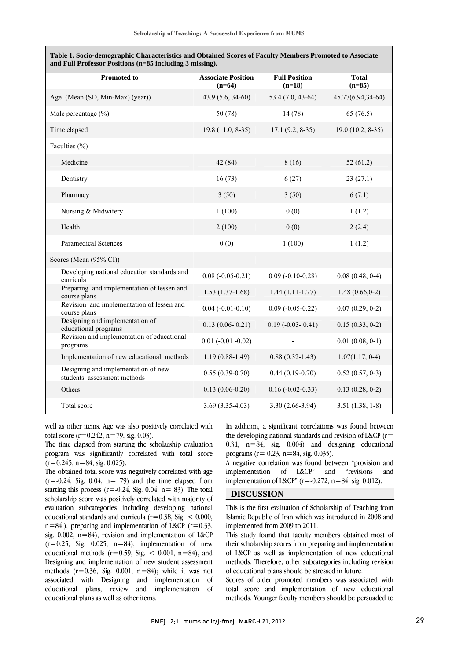| and Full Professor Positions (n=85 including 3 missing).           |                                       |                                  |                          |
|--------------------------------------------------------------------|---------------------------------------|----------------------------------|--------------------------|
| <b>Promoted to</b>                                                 | <b>Associate Position</b><br>$(n=64)$ | <b>Full Position</b><br>$(n=18)$ | <b>Total</b><br>$(n=85)$ |
| Age (Mean (SD, Min-Max) (year))                                    | 43.9 (5.6, 34-60)                     | 53.4 (7.0, 43-64)                | 45.77(6.94,34-64)        |
| Male percentage $(\% )$                                            | 50 (78)                               | 14(78)                           | 65(76.5)                 |
| Time elapsed                                                       | $19.8(11.0, 8-35)$                    | $17.1(9.2, 8-35)$                | $19.0(10.2, 8-35)$       |
| Faculties (%)                                                      |                                       |                                  |                          |
| Medicine                                                           | 42 (84)                               | 8(16)                            | 52(61.2)                 |
| Dentistry                                                          | 16(73)                                | 6(27)                            | 23(27.1)                 |
| Pharmacy                                                           | 3(50)                                 | 3(50)                            | 6(7.1)                   |
| Nursing & Midwifery                                                | 1(100)                                | 0(0)                             | 1(1.2)                   |
| Health                                                             | 2(100)                                | 0(0)                             | 2(2.4)                   |
| <b>Paramedical Sciences</b>                                        | 0(0)                                  | 1(100)                           | 1(1.2)                   |
| Scores (Mean (95% CI))                                             |                                       |                                  |                          |
| Developing national education standards and<br>curricula           | $0.08 (-0.05 - 0.21)$                 | $0.09$ (-0.10-0.28)              | 0.08(0.48, 0.4)          |
| Preparing and implementation of lessen and<br>course plans         | $1.53(1.37-1.68)$                     | $1.44(1.11-1.77)$                | $1.48(0.66, 0-2)$        |
| Revision and implementation of lessen and<br>course plans          | $0.04 (-0.01 - 0.10)$                 | $0.09$ (-0.05-0.22)              | $0.07(0.29, 0-2)$        |
| Designing and implementation of<br>educational programs            | $0.13(0.06 - 0.21)$                   | $0.19$ (-0.03- 0.41)             | $0.15(0.33, 0-2)$        |
| Revision and implementation of educational<br>programs             | $0.01$ (-0.01 -0.02)                  |                                  | $0.01(0.08, 0-1)$        |
| Implementation of new educational methods                          | $1.19(0.88-1.49)$                     | $0.88(0.32 - 1.43)$              | $1.07(1.17, 0-4)$        |
| Designing and implementation of new<br>students assessment methods | $0.55(0.39-0.70)$                     | $0.44(0.19-0.70)$                | $0.52(0.57, 0-3)$        |
| Others                                                             | $0.13(0.06-0.20)$                     | $0.16 (-0.02 - 0.33)$            | $0.13(0.28, 0-2)$        |
| Total score                                                        | $3.69(3.35-4.03)$                     | $3.30(2.66-3.94)$                | $3.51(1.38, 1-8)$        |

Ī **Table 1. Socio-demographic Characteristics and Obtained Scores of Faculty Members Promoted to Associate** 

 well as other items. Age was also positively correlated with total score ( $r=0.242$ ,  $n=79$ , sig. 0.03).

 program was significantly correlated with total score The time elapsed from starting the scholarship evaluation  $(r=0.245, n=84, sig. 0.025).$ 

 The obtained total score was negatively correlated with age  $(r=0.24, Sig. 0.04, n= 79)$  and the time elapsed from statung this process  $(1 - 0.24, 0.94, 1) - 0.01$ , the total scholarship score was positively correlated with majority of evaluation subcategories including developing national educational standards and curricula  $(r=0.38, Sig. < 0.000,$  $n=84$ ,), preparing and implementation of L&CP ( $r=0.33$ ,  $(r=0.25,$  Sig. 0.025, n=84), implementation of new educational methods  $(r=0.59, Sig. < 0.001, n=84)$ , and Designing and implementation of new student assessment methods  $(r=0.36, Sig. 0.001, n=84)$ ; while it was not educational plans, review and implementation of starting this process ( $r = -0.24$ , Sig. 0.04,  $n = 83$ ). The total sig. 0.002,  $n=84$ ), revision and implementation of L&CP associated with Designing and implementation of educational plans as well as other items.

 In addition, a significant correlations was found between the developing national standards and revision of L&CP (r= 0.31,  $n=84$ , sig. 0.004) and designing educational<br>programs  $(r=0.23, n=84, \text{cis } 0.035)$ programs ( $r = 0.23$ ,  $n=84$ , sig. 0.035).

 A negative correlation was found between "provision and and implementation of L&CP" and "revisions implementation of L&CP" ( $r = -0.272$ ,  $n = 84$ , sig. 0.012).

### **DISCUSSION**

 This is the first evaluation of Scholarship of Teaching from Islamic Republic of Iran which was introduced in 2008 and implemented from 2009 to 2011.

implemented from 2009 to 2011.<br>This study found that faculty members obtained most of their scholarship scores from preparing and implementation of L&CP as well as implementation of new educational methods. Therefore, other subcategories including revision of educational plans should be stressed in future.

of equicational plans should be stressed in future.<br>Scores of older promoted members was associated with total score and implementation of new educational methods. Younger faculty members should be persuaded to

Ξ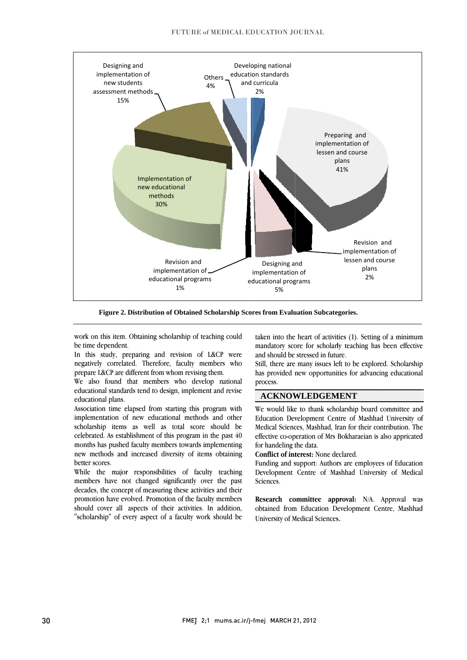

Figure 2. Distribution of Obtained Scholarship Scores from Evaluation Subcategories.

work on this item. Obtaining scholarship of teaching could be time dependent.

In this study, preparing and revision of L&CP were negatively correlated. Therefore, faculty members who prepare L&CP are different from whom revising them.

We also found that members who develop national educational standards tend to design, implement and revise educational plans.

Association time elapsed from starting this program with implementation of new educational methods and other scholarship items as well as total score should be celebrated. As establishment of this program in the past 40 months has pushed faculty members towards implementing new methods and increased diversity of items obtaining better scores.

While the major responsibilities of faculty teaching members have not changed significantly over the past decades, the concept of measuring these activities and their promotion have evolved. Promotion of the faculty members should cover all aspects of their activities. In addition, "scholarship" of every aspect of a faculty work should be taken into the heart of activities (1). Setting of a minimum mandatory score for scholarly teaching has been effective and should be stressed in future.

Still, there are many issues left to be explored. Scholarship has provided new opportunities for advancing educational process.

### **ACKNOWLEDGEMENT**

We would like to thank scholarship board committee and Education Development Centre of Mashhad University of Medical Sciences, Mashhad, Iran for their contribution. The effective co-operation of Mrs Bokharaeian is also appricated for handeling the data.

Conflict of interest: None declared.

Funding and support: Authors are employees of Education Development Centre of Mashhad University of Medical Sciences.

Research committee approval: N/A. Approval was obtained from Education Development Centre, Mashhad University of Medical Sciences.